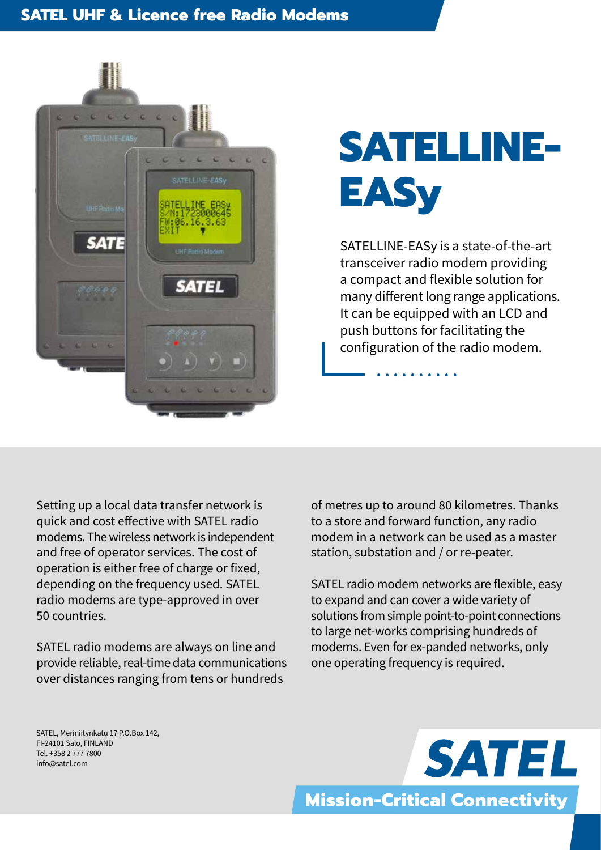## **SATEL UHF & Licence free Radio Modems**



## **SATELLINE-EASy**

SATELLINE-EASy is a state-of-the-art transceiver radio modem providing a compact and flexible solution for many different long range applications. It can be equipped with an LCD and push buttons for facilitating the configuration of the radio modem.

Setting up a local data transfer network is quick and cost effective with SATEL radio modems. The wireless network is independent and free of operator services. The cost of operation is either free of charge or fixed, depending on the frequency used. SATEL radio modems are type-approved in over 50 countries.

SATEL radio modems are always on line and provide reliable, real-time data communications over distances ranging from tens or hundreds

of metres up to around 80 kilometres. Thanks to a store and forward function, any radio modem in a network can be used as a master station, substation and / or re-peater.

SATEL radio modem networks are flexible, easy to expand and can cover a wide variety of solutions from simple point-to-point connections to large net-works comprising hundreds of modems. Even for ex-panded networks, only one operating frequency is required.

SATEL, Meriniitynkatu 17 P.O.Box 142, FI-24101 Salo, FINLAND Tel. +358 2 777 7800 info@satel.com